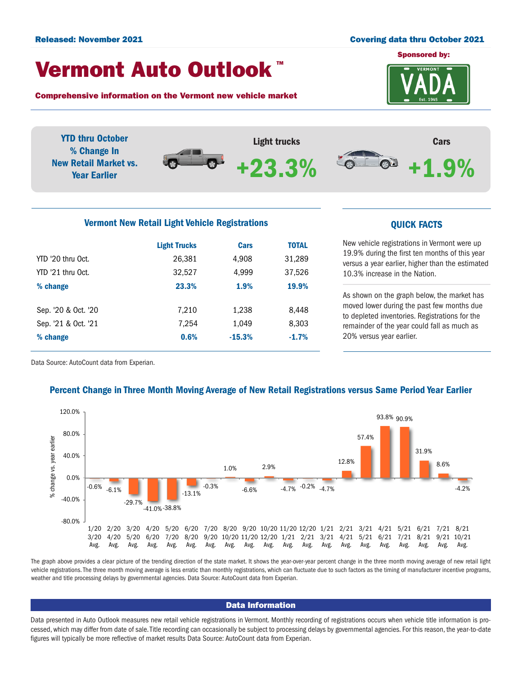#### Released: November 2021 Covering data thru October 2021

## Vermont Auto Outlook TM

Comprehensive information on the Vermont new vehicle market



YTD thru October Light trucks Cars % Change In  $\bullet$ New Retail Market vs. +23.3%**Del** +1.9% Year Earlier

## Vermont New Retail Light Vehicle Registrations **COVID-10** COVICK FACTS

|                     | <b>Light Trucks</b> | Cars     | <b>TOTAL</b> |  |
|---------------------|---------------------|----------|--------------|--|
| YTD '20 thru Oct.   | 26,381              | 4,908    | 31,289       |  |
| YTD '21 thru Oct.   | 32,527              | 4,999    | 37,526       |  |
| % change            | 23.3%               | 1.9%     | 19.9%        |  |
|                     |                     |          |              |  |
| Sep. '20 & Oct. '20 | 7,210               | 1,238    | 8,448        |  |
| Sep. '21 & Oct. '21 | 7,254               | 1,049    | 8,303        |  |
| % change            | 0.6%                | $-15.3%$ | $-1.7%$      |  |
|                     |                     |          |              |  |

New vehicle registrations in Vermont were up 19.9% during the first ten months of this year versus a year earlier, higher than the estimated 10.3% increase in the Nation.

As shown on the graph below, the market has moved lower during the past few months due to depleted inventories. Registrations for the remainder of the year could fall as much as 20% versus year earlier.

Data Source: AutoCount data from Experian.

## Percent Change in Three Month Moving Average of New Retail Registrations versus Same Period Year Earlier



The graph above provides a clear picture of the trending direction of the state market. It shows the year-over-year percent change in the three month moving average of new retail light vehicle registrations. The three month moving average is less erratic than monthly registrations, which can fluctuate due to such factors as the timing of manufacturer incentive programs, weather and title processing delays by governmental agencies. Data Source: AutoCount data from Experian.

## Data Information

Data presented in Auto Outlook measures new retail vehicle registrations in Vermont. Monthly recording of registrations occurs when vehicle title information is processed, which may differ from date of sale. Title recording can occasionally be subject to processing delays by governmental agencies. For this reason, the year-to-date figures will typically be more reflective of market results Data Source: AutoCount data from Experian.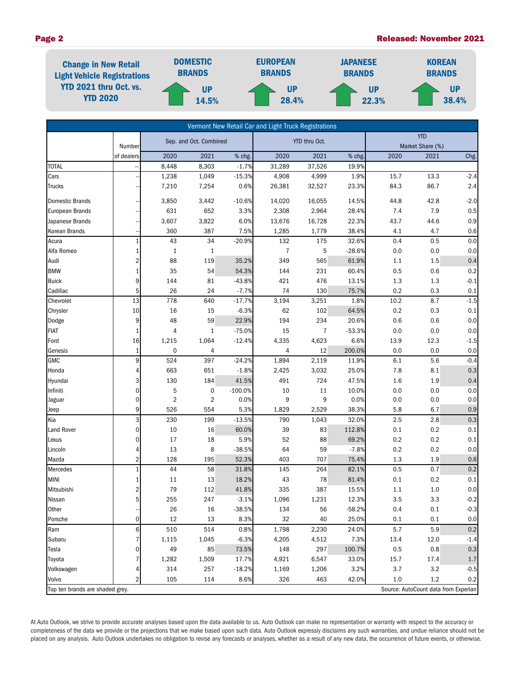#### Page 2 Released: November 2021



| Vermont New Retail Car and Light Truck Registrations |                |                         |           |                  |              |                                |                |            |                                      |                |
|------------------------------------------------------|----------------|-------------------------|-----------|------------------|--------------|--------------------------------|----------------|------------|--------------------------------------|----------------|
|                                                      | Number         | Sep. and Oct. Combined  |           | YTD thru Oct.    |              | <b>YTD</b><br>Market Share (%) |                |            |                                      |                |
|                                                      | of dealers     | 2020                    | 2021      | % chg.           | 2020         | 2021                           | % chg.         | 2020       | 2021                                 | Chg.           |
| <b>TOTAL</b>                                         |                | 8,448                   | 8,303     | $-1.7%$          | 31,289       | 37,526                         | 19.9%          |            |                                      |                |
| Cars                                                 |                | 1,238                   | 1,049     | $-15.3%$         | 4,908        | 4,999                          | 1.9%           | 15.7       | 13.3                                 | $-2.4$         |
| Trucks                                               |                | 7,210                   | 7,254     | 0.6%             | 26,381       | 32,527                         | 23.3%          | 84.3       | 86.7                                 | 2.4            |
|                                                      |                |                         |           |                  |              |                                |                |            |                                      |                |
| <b>Domestic Brands</b>                               |                | 3,850                   | 3,442     | $-10.6%$         | 14,020       | 16,055                         | 14.5%          | 44.8       | 42.8                                 | $-2.0$         |
| European Brands                                      |                | 631                     | 652       | 3.3%             | 2,308        | 2,964                          | 28.4%          | 7.4        | 7.9                                  | 0.5            |
| Japanese Brands                                      |                | 3,607                   | 3,822     | 6.0%             | 13,676       | 16,728                         | 22.3%          | 43.7       | 44.6                                 | $0.9\,$        |
| Korean Brands<br>Acura                               |                | 360<br>43               | 387<br>34 | 7.5%<br>$-20.9%$ | 1,285<br>132 | 1,779<br>175                   | 38.4%<br>32.6% | 4.1<br>0.4 | 4.7<br>0.5                           | 0.6<br>0.0     |
| Alfa Romeo                                           |                |                         |           |                  | 7            | 5                              | $-28.6%$       | 0.0        | 0.0                                  | $0.0\,$        |
|                                                      | 2              | 1<br>88                 | 1         | 35.2%            | 349          | 565                            | 61.9%          | 1.1        | 1.5                                  |                |
| Audi<br><b>BMW</b>                                   |                | 35                      | 119<br>54 | 54.3%            | 144          | 231                            | 60.4%          | 0.5        | 0.6                                  | $0.4\,$<br>0.2 |
| <b>Buick</b>                                         | 9              | 144                     | 81        | $-43.8%$         | 421          | 476                            | 13.1%          | 1.3        | 1.3                                  | $-0.1$         |
| Cadillac                                             | 5              | 26                      | 24        | $-7.7%$          | 74           | 130                            | 75.7%          | 0.2        | 0.3                                  | 0.1            |
| Chevrolet                                            | 13             | 778                     | 640       | $-17.7%$         | 3,194        | 3,251                          | 1.8%           | 10.2       | 8.7                                  | $-1.5$         |
| Chrysler                                             | 10             | 16                      | 15        | $-6.3%$          | 62           | 102                            | 64.5%          | 0.2        | 0.3                                  | 0.1            |
| Dodge                                                | 9              | 48                      | 59        | 22.9%            | 194          | 234                            | 20.6%          | 0.6        | 0.6                                  | 0.0            |
| FIAT                                                 |                | 4                       | 1         | $-75.0%$         | 15           | $\overline{7}$                 | $-53.3%$       | 0.0        | 0.0                                  | 0.0            |
| Ford                                                 | 16             | 1,215                   | 1,064     | $-12.4%$         | 4,335        | 4,623                          | 6.6%           | 13.9       | 12.3                                 | $-1.5$         |
| Genesis                                              | $\mathbf{1}$   | 0                       | 4         |                  | 4            | 12                             | 200.0%         | 0.0        | 0.0                                  | 0.0            |
| <b>GMC</b>                                           | 9              | 524                     | 397       | $-24.2%$         | 1,894        | 2,119                          | 11.9%          | 6.1        | 5.6                                  | $-0.4$         |
| Honda                                                | 4              | 663                     | 651       | $-1.8%$          | 2,425        | 3,032                          | 25.0%          | 7.8        | 8.1                                  | 0.3            |
| Hyundai                                              | 3              | 130                     | 184       | 41.5%            | 491          | 724                            | 47.5%          | 1.6        | 1.9                                  | 0.4            |
| Infiniti                                             | 0              | 5                       | $\pmb{0}$ | $-100.0%$        | 10           | 11                             | 10.0%          | 0.0        | 0.0                                  | $0.0\,$        |
| Jaguar                                               | 0              | $\overline{\mathbf{c}}$ | 2         | 0.0%             | 9            | 9                              | 0.0%           | 0.0        | 0.0                                  | 0.0            |
| Jeep                                                 | 9              | 526                     | 554       | 5.3%             | 1,829        | 2,529                          | 38.3%          | 5.8        | 6.7                                  | $0.9\,$        |
| Kia                                                  | 3              | 230                     | 199       | $-13.5%$         | 790          | 1,043                          | 32.0%          | 2.5        | 2.8                                  | $0.3\,$        |
| <b>Land Rover</b>                                    | 0              | $10\,$                  | 16        | 60.0%            | 39           | 83                             | 112.8%         | 0.1        | 0.2                                  | 0.1            |
| Lexus                                                | 0              | 17                      | 18        | 5.9%             | 52           | 88                             | 69.2%          | 0.2        | 0.2                                  | 0.1            |
| Lincoln                                              | 4              | 13                      | 8         | $-38.5%$         | 64           | 59                             | $-7.8%$        | 0.2        | 0.2                                  | $0.0\,$        |
| Mazda                                                | $\overline{2}$ | 128                     | 195       | 52.3%            | 403          | 707                            | 75.4%          | 1.3        | 1.9                                  | 0.6            |
| Mercedes                                             | $\mathbf{1}$   | 44                      | 58        | 31.8%            | 145          | 264                            | 82.1%          | 0.5        | 0.7                                  | 0.2            |
| <b>MINI</b>                                          | 1              | 11                      | 13        | 18.2%            | 43           | 78                             | 81.4%          | 0.1        | 0.2                                  | 0.1            |
| Mitsubishi                                           | 2              | 79                      | 112       | 41.8%            | 335          | 387                            | 15.5%          | 1.1        | $1.0$                                | 0.0            |
| Nissan                                               | 5 <sup>1</sup> | 255                     | 247       | $-3.1%$          | 1,096        | 1,231                          | 12.3%          | 3.5        | 3.3                                  | $-0.2$         |
| Other                                                |                | 26                      | 16        | $-38.5%$         | 134          | 56                             | $-58.2%$       | 0.4        | 0.1                                  | $-0.3$         |
| Porsche                                              | $\mathbf{0}$   | 12                      | 13        | 8.3%             | 32           | 40                             | 25.0%          | 0.1        | 0.1                                  | 0.0            |
| Ram                                                  | 6              | 510                     | 514       | 0.8%             | 1,798        | 2,230                          | 24.0%          | 5.7        | 5.9                                  | $0.2\,$        |
| Subaru                                               |                | 1,115                   | 1,045     | $-6.3%$          | 4,205        | 4,512                          | 7.3%           | 13.4       | 12.0                                 | $-1.4$         |
| Tesla                                                | 0              | 49                      | 85        | 73.5%            | 148          | 297                            | 100.7%         | 0.5        | 0.8                                  | 0.3            |
| Toyota                                               |                | 1,282                   | 1,509     | 17.7%            | 4,921        | 6,547                          | 33.0%          | 15.7       | 17.4                                 | $1.7\,$        |
| Volkswagen                                           |                | 314                     | 257       | $-18.2%$         | 1,169        | 1,206                          | 3.2%           | 3.7        | 3.2                                  | $-0.5$         |
| Volvo                                                | 2              | 105                     | 114       | 8.6%             | 326          | 463                            | 42.0%          | 1.0        | 1.2                                  | 0.2            |
| Top ten brands are shaded grey.                      |                |                         |           |                  |              |                                |                |            | Source: AutoCount data from Experian |                |

At Auto Outlook, we strive to provide accurate analyses based upon the data available to us. Auto Outlook can make no representation or warranty with respect to the accuracy or completeness of the data we provide or the projections that we make based upon such data. Auto Outlook expressly disclaims any such warranties, and undue reliance should not be placed on any analysis. Auto Outlook undertakes no obligation to revise any forecasts or analyses, whether as a result of any new data, the occurrence of future events, or otherwise.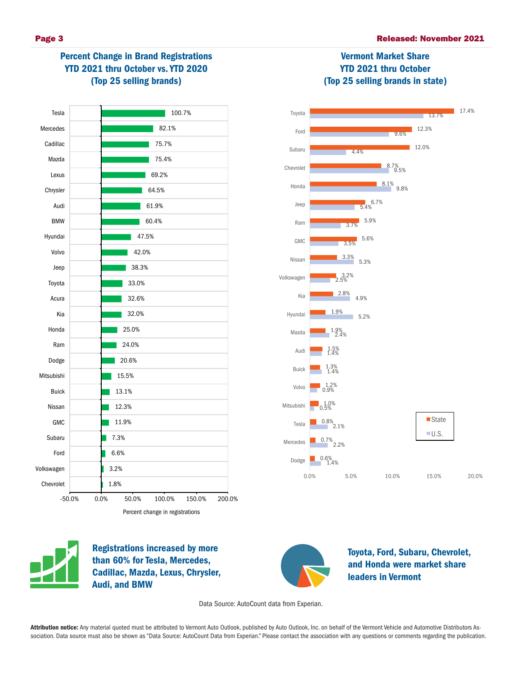# Percent Change in Brand Registrations YTD 2021 thru October vs. YTD 2020 (Top 25 selling brands)





Vermont Market Share

#### 0.6%<br>| 1.4%  $2.2%$  $^{0.8\%}$ <sub>2.1</sub>% 0.5% 1.0% 0.7% 0.0% 5.0% 10.0% 15.0% 20.0% Dodge Mercedes Tesla Mitsubishi ■State  $U.S.$



Registrations increased by more than 60% for Tesla, Mercedes, Cadillac, Mazda, Lexus, Chrysler, Audi, and BMW



Toyota, Ford, Subaru, Chevrolet, and Honda were market share leaders in Vermont

Data Source: AutoCount data from Experian.

Attribution notice: Any material quoted must be attributed to Vermont Auto Outlook, published by Auto Outlook, Inc. on behalf of the Vermont Vehicle and Automotive Distributors Association. Data source must also be shown as "Data Source: AutoCount Data from Experian." Please contact the association with any questions or comments regarding the publication.